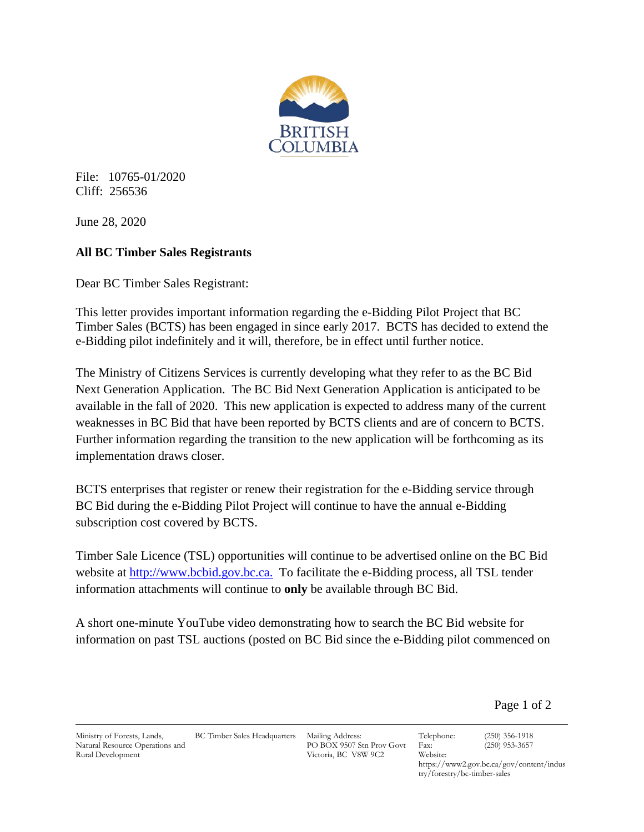

File: 10765-01/2020 Cliff: 256536

June 28, 2020

## **All BC Timber Sales Registrants**

Dear BC Timber Sales Registrant:

This letter provides important information regarding the e-Bidding Pilot Project that BC Timber Sales (BCTS) has been engaged in since early 2017. BCTS has decided to extend the e-Bidding pilot indefinitely and it will, therefore, be in effect until further notice.

The Ministry of Citizens Services is currently developing what they refer to as the BC Bid Next Generation Application. The BC Bid Next Generation Application is anticipated to be available in the fall of 2020. This new application is expected to address many of the current weaknesses in BC Bid that have been reported by BCTS clients and are of concern to BCTS. Further information regarding the transition to the new application will be forthcoming as its implementation draws closer.

BCTS enterprises that register or renew their registration for the e-Bidding service through BC Bid during the e-Bidding Pilot Project will continue to have the annual e-Bidding subscription cost covered by BCTS.

Timber Sale Licence (TSL) opportunities will continue to be advertised online on the BC Bid website at [http://www.bcbid.gov.bc.ca.](http://www.bcbid.gov.bc.ca/) To facilitate the e-Bidding process, all TSL tender information attachments will continue to **only** be available through BC Bid.

A short one-minute YouTube video demonstrating how to search the BC Bid website for information on past TSL auctions (posted on BC Bid since the e-Bidding pilot commenced on

Page 1 of 2

Ministry of Forests, Lands, Natural Resource Operations and Rural Development

BC Timber Sales Headquarters Mailing Address:

PO BOX 9507 Stn Prov Govt Victoria, BC V8W 9C2

Telephone: (250) 356-1918 Fax: (250) 953-3657

https://www2.gov.bc.ca/gov/content/indus try/forestry/bc-timber-sales

Website: